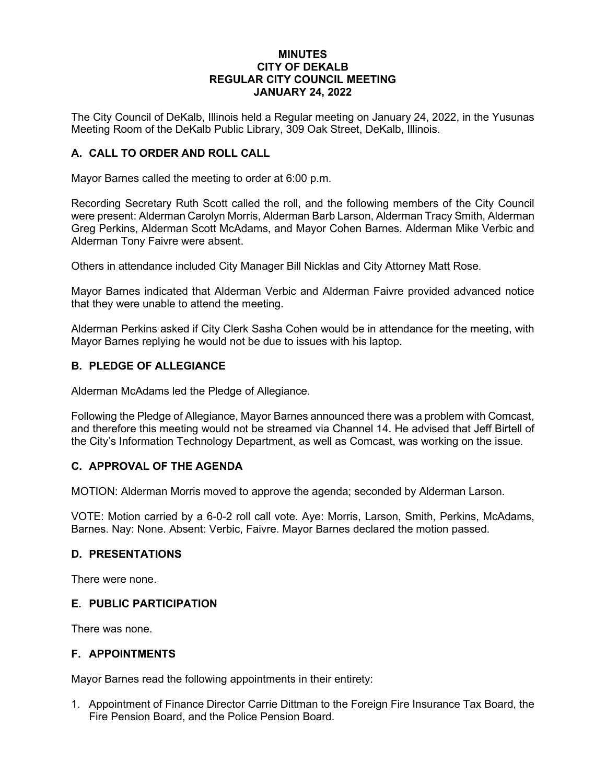## **MINUTES CITY OF DEKALB REGULAR CITY COUNCIL MEETING JANUARY 24, 2022**

The City Council of DeKalb, Illinois held a Regular meeting on January 24, 2022, in the Yusunas Meeting Room of the DeKalb Public Library, 309 Oak Street, DeKalb, Illinois.

# **A. CALL TO ORDER AND ROLL CALL**

Mayor Barnes called the meeting to order at 6:00 p.m.

Recording Secretary Ruth Scott called the roll, and the following members of the City Council were present: Alderman Carolyn Morris, Alderman Barb Larson, Alderman Tracy Smith, Alderman Greg Perkins, Alderman Scott McAdams, and Mayor Cohen Barnes. Alderman Mike Verbic and Alderman Tony Faivre were absent.

Others in attendance included City Manager Bill Nicklas and City Attorney Matt Rose.

Mayor Barnes indicated that Alderman Verbic and Alderman Faivre provided advanced notice that they were unable to attend the meeting.

Alderman Perkins asked if City Clerk Sasha Cohen would be in attendance for the meeting, with Mayor Barnes replying he would not be due to issues with his laptop.

## **B. PLEDGE OF ALLEGIANCE**

Alderman McAdams led the Pledge of Allegiance.

Following the Pledge of Allegiance, Mayor Barnes announced there was a problem with Comcast, and therefore this meeting would not be streamed via Channel 14. He advised that Jeff Birtell of the City's Information Technology Department, as well as Comcast, was working on the issue.

### **C. APPROVAL OF THE AGENDA**

MOTION: Alderman Morris moved to approve the agenda; seconded by Alderman Larson.

VOTE: Motion carried by a 6-0-2 roll call vote. Aye: Morris, Larson, Smith, Perkins, McAdams, Barnes. Nay: None. Absent: Verbic, Faivre. Mayor Barnes declared the motion passed.

### **D. PRESENTATIONS**

There were none.

### **E. PUBLIC PARTICIPATION**

There was none.

## **F. APPOINTMENTS**

Mayor Barnes read the following appointments in their entirety:

1. Appointment of Finance Director Carrie Dittman to the Foreign Fire Insurance Tax Board, the Fire Pension Board, and the Police Pension Board.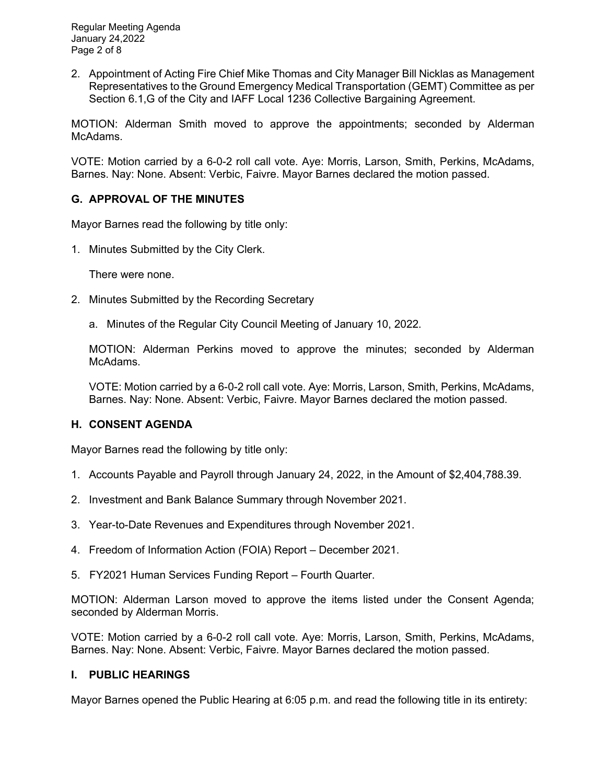Regular Meeting Agenda January 24,2022 Page 2 of 8

2. Appointment of Acting Fire Chief Mike Thomas and City Manager Bill Nicklas as Management Representatives to the Ground Emergency Medical Transportation (GEMT) Committee as per Section 6.1,G of the City and IAFF Local 1236 Collective Bargaining Agreement.

MOTION: Alderman Smith moved to approve the appointments; seconded by Alderman McAdams.

VOTE: Motion carried by a 6-0-2 roll call vote. Aye: Morris, Larson, Smith, Perkins, McAdams, Barnes. Nay: None. Absent: Verbic, Faivre. Mayor Barnes declared the motion passed.

# **G. APPROVAL OF THE MINUTES**

Mayor Barnes read the following by title only:

1. Minutes Submitted by the City Clerk.

There were none.

- 2. Minutes Submitted by the Recording Secretary
	- a. Minutes of the Regular City Council Meeting of January 10, 2022.

MOTION: Alderman Perkins moved to approve the minutes; seconded by Alderman McAdams.

VOTE: Motion carried by a 6-0-2 roll call vote. Aye: Morris, Larson, Smith, Perkins, McAdams, Barnes. Nay: None. Absent: Verbic, Faivre. Mayor Barnes declared the motion passed.

## **H. CONSENT AGENDA**

Mayor Barnes read the following by title only:

- 1. Accounts Payable and Payroll through January 24, 2022, in the Amount of \$2,404,788.39.
- 2. Investment and Bank Balance Summary through November 2021.
- 3. Year-to-Date Revenues and Expenditures through November 2021.
- 4. Freedom of Information Action (FOIA) Report December 2021.
- 5. FY2021 Human Services Funding Report Fourth Quarter.

MOTION: Alderman Larson moved to approve the items listed under the Consent Agenda; seconded by Alderman Morris.

VOTE: Motion carried by a 6-0-2 roll call vote. Aye: Morris, Larson, Smith, Perkins, McAdams, Barnes. Nay: None. Absent: Verbic, Faivre. Mayor Barnes declared the motion passed.

### **I. PUBLIC HEARINGS**

Mayor Barnes opened the Public Hearing at 6:05 p.m. and read the following title in its entirety: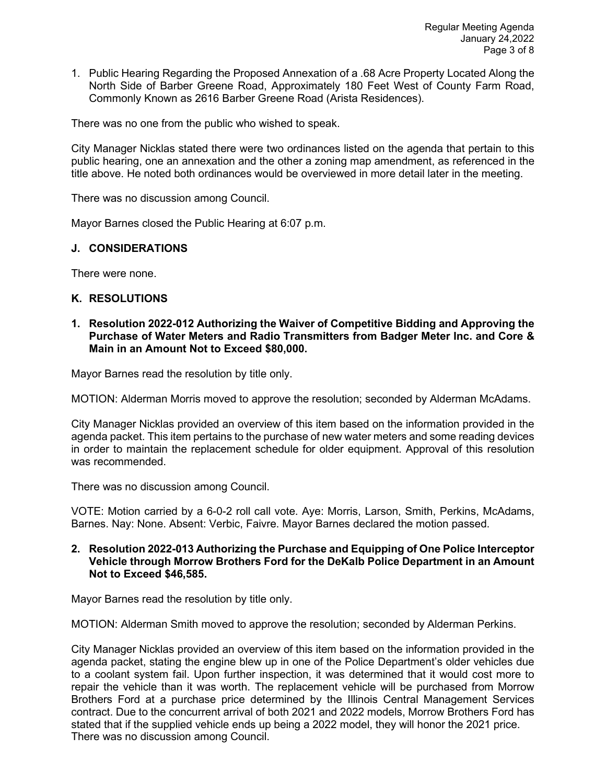1. Public Hearing Regarding the Proposed Annexation of a .68 Acre Property Located Along the North Side of Barber Greene Road, Approximately 180 Feet West of County Farm Road, Commonly Known as 2616 Barber Greene Road (Arista Residences).

There was no one from the public who wished to speak.

City Manager Nicklas stated there were two ordinances listed on the agenda that pertain to this public hearing, one an annexation and the other a zoning map amendment, as referenced in the title above. He noted both ordinances would be overviewed in more detail later in the meeting.

There was no discussion among Council.

Mayor Barnes closed the Public Hearing at 6:07 p.m.

## **J. CONSIDERATIONS**

There were none.

## **K. RESOLUTIONS**

**1. Resolution 2022-012 Authorizing the Waiver of Competitive Bidding and Approving the Purchase of Water Meters and Radio Transmitters from Badger Meter Inc. and Core & Main in an Amount Not to Exceed \$80,000.** 

Mayor Barnes read the resolution by title only.

MOTION: Alderman Morris moved to approve the resolution; seconded by Alderman McAdams.

City Manager Nicklas provided an overview of this item based on the information provided in the agenda packet. This item pertains to the purchase of new water meters and some reading devices in order to maintain the replacement schedule for older equipment. Approval of this resolution was recommended.

There was no discussion among Council.

VOTE: Motion carried by a 6-0-2 roll call vote. Aye: Morris, Larson, Smith, Perkins, McAdams, Barnes. Nay: None. Absent: Verbic, Faivre. Mayor Barnes declared the motion passed.

**2. Resolution 2022-013 Authorizing the Purchase and Equipping of One Police Interceptor Vehicle through Morrow Brothers Ford for the DeKalb Police Department in an Amount Not to Exceed \$46,585.** 

Mayor Barnes read the resolution by title only.

MOTION: Alderman Smith moved to approve the resolution; seconded by Alderman Perkins.

City Manager Nicklas provided an overview of this item based on the information provided in the agenda packet, stating the engine blew up in one of the Police Department's older vehicles due to a coolant system fail. Upon further inspection, it was determined that it would cost more to repair the vehicle than it was worth. The replacement vehicle will be purchased from Morrow Brothers Ford at a purchase price determined by the Illinois Central Management Services contract. Due to the concurrent arrival of both 2021 and 2022 models, Morrow Brothers Ford has stated that if the supplied vehicle ends up being a 2022 model, they will honor the 2021 price. There was no discussion among Council.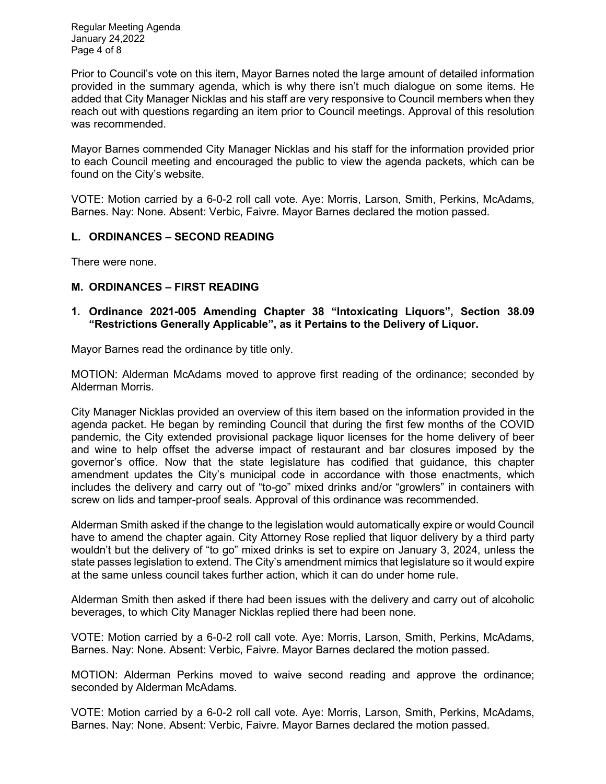Regular Meeting Agenda January 24,2022 Page 4 of 8

Prior to Council's vote on this item, Mayor Barnes noted the large amount of detailed information provided in the summary agenda, which is why there isn't much dialogue on some items. He added that City Manager Nicklas and his staff are very responsive to Council members when they reach out with questions regarding an item prior to Council meetings. Approval of this resolution was recommended.

Mayor Barnes commended City Manager Nicklas and his staff for the information provided prior to each Council meeting and encouraged the public to view the agenda packets, which can be found on the City's website.

VOTE: Motion carried by a 6-0-2 roll call vote. Aye: Morris, Larson, Smith, Perkins, McAdams, Barnes. Nay: None. Absent: Verbic, Faivre. Mayor Barnes declared the motion passed.

# **L. ORDINANCES – SECOND READING**

There were none.

## **M. ORDINANCES – FIRST READING**

### **1. Ordinance 2021-005 Amending Chapter 38 "Intoxicating Liquors", Section 38.09 "Restrictions Generally Applicable", as it Pertains to the Delivery of Liquor.**

Mayor Barnes read the ordinance by title only.

MOTION: Alderman McAdams moved to approve first reading of the ordinance; seconded by Alderman Morris.

City Manager Nicklas provided an overview of this item based on the information provided in the agenda packet. He began by reminding Council that during the first few months of the COVID pandemic, the City extended provisional package liquor licenses for the home delivery of beer and wine to help offset the adverse impact of restaurant and bar closures imposed by the governor's office. Now that the state legislature has codified that guidance, this chapter amendment updates the City's municipal code in accordance with those enactments, which includes the delivery and carry out of "to-go" mixed drinks and/or "growlers" in containers with screw on lids and tamper-proof seals. Approval of this ordinance was recommended.

Alderman Smith asked if the change to the legislation would automatically expire or would Council have to amend the chapter again. City Attorney Rose replied that liquor delivery by a third party wouldn't but the delivery of "to go" mixed drinks is set to expire on January 3, 2024, unless the state passes legislation to extend. The City's amendment mimics that legislature so it would expire at the same unless council takes further action, which it can do under home rule.

Alderman Smith then asked if there had been issues with the delivery and carry out of alcoholic beverages, to which City Manager Nicklas replied there had been none.

VOTE: Motion carried by a 6-0-2 roll call vote. Aye: Morris, Larson, Smith, Perkins, McAdams, Barnes. Nay: None. Absent: Verbic, Faivre. Mayor Barnes declared the motion passed.

MOTION: Alderman Perkins moved to waive second reading and approve the ordinance; seconded by Alderman McAdams.

VOTE: Motion carried by a 6-0-2 roll call vote. Aye: Morris, Larson, Smith, Perkins, McAdams, Barnes. Nay: None. Absent: Verbic, Faivre. Mayor Barnes declared the motion passed.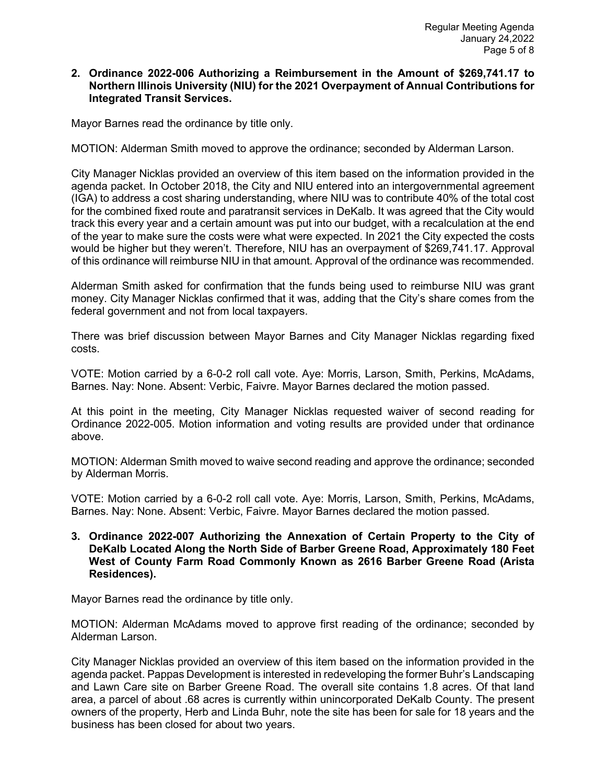## **2. Ordinance 2022-006 Authorizing a Reimbursement in the Amount of \$269,741.17 to Northern Illinois University (NIU) for the 2021 Overpayment of Annual Contributions for Integrated Transit Services.**

Mayor Barnes read the ordinance by title only.

MOTION: Alderman Smith moved to approve the ordinance; seconded by Alderman Larson.

City Manager Nicklas provided an overview of this item based on the information provided in the agenda packet. In October 2018, the City and NIU entered into an intergovernmental agreement (IGA) to address a cost sharing understanding, where NIU was to contribute 40% of the total cost for the combined fixed route and paratransit services in DeKalb. It was agreed that the City would track this every year and a certain amount was put into our budget, with a recalculation at the end of the year to make sure the costs were what were expected. In 2021 the City expected the costs would be higher but they weren't. Therefore, NIU has an overpayment of \$269,741.17. Approval of this ordinance will reimburse NIU in that amount. Approval of the ordinance was recommended.

Alderman Smith asked for confirmation that the funds being used to reimburse NIU was grant money. City Manager Nicklas confirmed that it was, adding that the City's share comes from the federal government and not from local taxpayers.

There was brief discussion between Mayor Barnes and City Manager Nicklas regarding fixed costs.

VOTE: Motion carried by a 6-0-2 roll call vote. Aye: Morris, Larson, Smith, Perkins, McAdams, Barnes. Nay: None. Absent: Verbic, Faivre. Mayor Barnes declared the motion passed.

At this point in the meeting, City Manager Nicklas requested waiver of second reading for Ordinance 2022-005. Motion information and voting results are provided under that ordinance above.

MOTION: Alderman Smith moved to waive second reading and approve the ordinance; seconded by Alderman Morris.

VOTE: Motion carried by a 6-0-2 roll call vote. Aye: Morris, Larson, Smith, Perkins, McAdams, Barnes. Nay: None. Absent: Verbic, Faivre. Mayor Barnes declared the motion passed.

**3. Ordinance 2022-007 Authorizing the Annexation of Certain Property to the City of DeKalb Located Along the North Side of Barber Greene Road, Approximately 180 Feet West of County Farm Road Commonly Known as 2616 Barber Greene Road (Arista Residences).** 

Mayor Barnes read the ordinance by title only.

MOTION: Alderman McAdams moved to approve first reading of the ordinance; seconded by Alderman Larson.

City Manager Nicklas provided an overview of this item based on the information provided in the agenda packet. Pappas Development is interested in redeveloping the former Buhr's Landscaping and Lawn Care site on Barber Greene Road. The overall site contains 1.8 acres. Of that land area, a parcel of about .68 acres is currently within unincorporated DeKalb County. The present owners of the property, Herb and Linda Buhr, note the site has been for sale for 18 years and the business has been closed for about two years.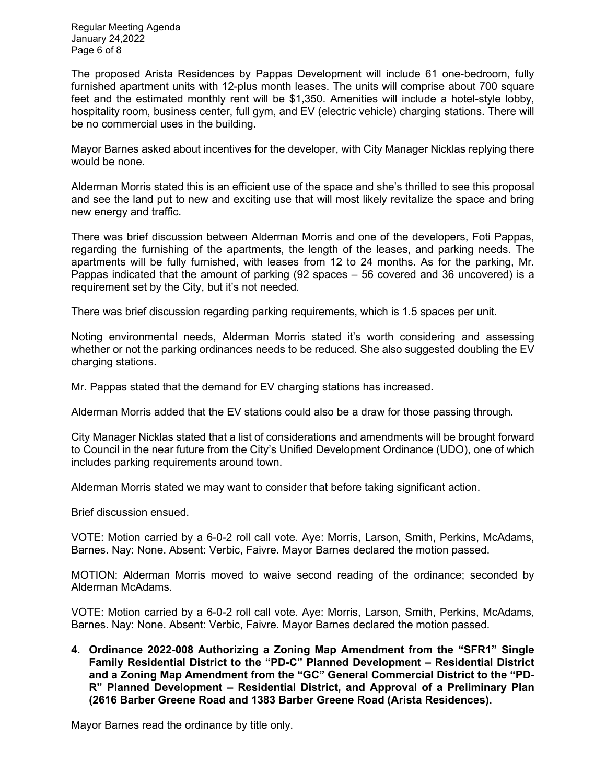Regular Meeting Agenda January 24,2022 Page 6 of 8

The proposed Arista Residences by Pappas Development will include 61 one-bedroom, fully furnished apartment units with 12-plus month leases. The units will comprise about 700 square feet and the estimated monthly rent will be \$1,350. Amenities will include a hotel-style lobby, hospitality room, business center, full gym, and EV (electric vehicle) charging stations. There will be no commercial uses in the building.

Mayor Barnes asked about incentives for the developer, with City Manager Nicklas replying there would be none.

Alderman Morris stated this is an efficient use of the space and she's thrilled to see this proposal and see the land put to new and exciting use that will most likely revitalize the space and bring new energy and traffic.

There was brief discussion between Alderman Morris and one of the developers, Foti Pappas, regarding the furnishing of the apartments, the length of the leases, and parking needs. The apartments will be fully furnished, with leases from 12 to 24 months. As for the parking, Mr. Pappas indicated that the amount of parking (92 spaces – 56 covered and 36 uncovered) is a requirement set by the City, but it's not needed.

There was brief discussion regarding parking requirements, which is 1.5 spaces per unit.

Noting environmental needs, Alderman Morris stated it's worth considering and assessing whether or not the parking ordinances needs to be reduced. She also suggested doubling the EV charging stations.

Mr. Pappas stated that the demand for EV charging stations has increased.

Alderman Morris added that the EV stations could also be a draw for those passing through.

City Manager Nicklas stated that a list of considerations and amendments will be brought forward to Council in the near future from the City's Unified Development Ordinance (UDO), one of which includes parking requirements around town.

Alderman Morris stated we may want to consider that before taking significant action.

Brief discussion ensued.

VOTE: Motion carried by a 6-0-2 roll call vote. Aye: Morris, Larson, Smith, Perkins, McAdams, Barnes. Nay: None. Absent: Verbic, Faivre. Mayor Barnes declared the motion passed.

MOTION: Alderman Morris moved to waive second reading of the ordinance; seconded by Alderman McAdams.

VOTE: Motion carried by a 6-0-2 roll call vote. Aye: Morris, Larson, Smith, Perkins, McAdams, Barnes. Nay: None. Absent: Verbic, Faivre. Mayor Barnes declared the motion passed.

**4. Ordinance 2022-008 Authorizing a Zoning Map Amendment from the "SFR1" Single Family Residential District to the "PD-C" Planned Development – Residential District and a Zoning Map Amendment from the "GC" General Commercial District to the "PD-R" Planned Development – Residential District, and Approval of a Preliminary Plan (2616 Barber Greene Road and 1383 Barber Greene Road (Arista Residences).** 

Mayor Barnes read the ordinance by title only.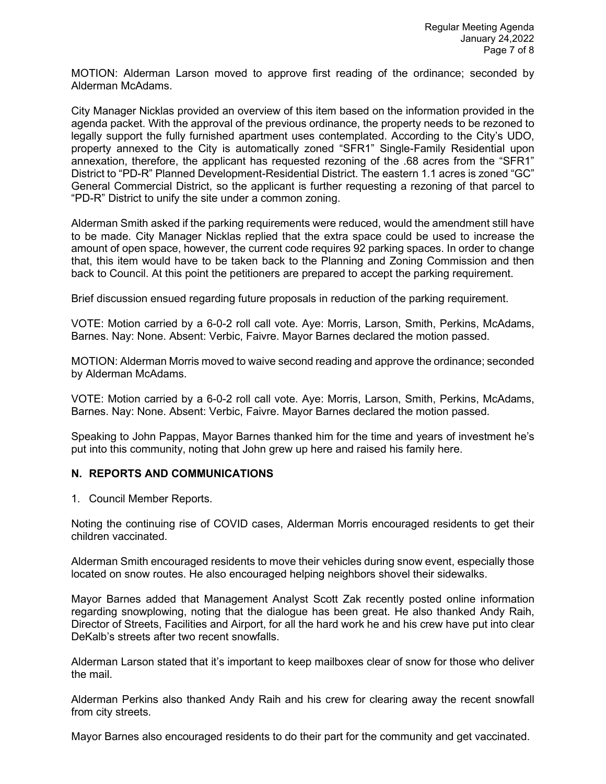MOTION: Alderman Larson moved to approve first reading of the ordinance; seconded by Alderman McAdams.

City Manager Nicklas provided an overview of this item based on the information provided in the agenda packet. With the approval of the previous ordinance, the property needs to be rezoned to legally support the fully furnished apartment uses contemplated. According to the City's UDO, property annexed to the City is automatically zoned "SFR1" Single-Family Residential upon annexation, therefore, the applicant has requested rezoning of the .68 acres from the "SFR1" District to "PD-R" Planned Development-Residential District. The eastern 1.1 acres is zoned "GC" General Commercial District, so the applicant is further requesting a rezoning of that parcel to "PD-R" District to unify the site under a common zoning.

Alderman Smith asked if the parking requirements were reduced, would the amendment still have to be made. City Manager Nicklas replied that the extra space could be used to increase the amount of open space, however, the current code requires 92 parking spaces. In order to change that, this item would have to be taken back to the Planning and Zoning Commission and then back to Council. At this point the petitioners are prepared to accept the parking requirement.

Brief discussion ensued regarding future proposals in reduction of the parking requirement.

VOTE: Motion carried by a 6-0-2 roll call vote. Aye: Morris, Larson, Smith, Perkins, McAdams, Barnes. Nay: None. Absent: Verbic, Faivre. Mayor Barnes declared the motion passed.

MOTION: Alderman Morris moved to waive second reading and approve the ordinance; seconded by Alderman McAdams.

VOTE: Motion carried by a 6-0-2 roll call vote. Aye: Morris, Larson, Smith, Perkins, McAdams, Barnes. Nay: None. Absent: Verbic, Faivre. Mayor Barnes declared the motion passed.

Speaking to John Pappas, Mayor Barnes thanked him for the time and years of investment he's put into this community, noting that John grew up here and raised his family here.

### **N. REPORTS AND COMMUNICATIONS**

1. Council Member Reports.

Noting the continuing rise of COVID cases, Alderman Morris encouraged residents to get their children vaccinated.

Alderman Smith encouraged residents to move their vehicles during snow event, especially those located on snow routes. He also encouraged helping neighbors shovel their sidewalks.

Mayor Barnes added that Management Analyst Scott Zak recently posted online information regarding snowplowing, noting that the dialogue has been great. He also thanked Andy Raih, Director of Streets, Facilities and Airport, for all the hard work he and his crew have put into clear DeKalb's streets after two recent snowfalls.

Alderman Larson stated that it's important to keep mailboxes clear of snow for those who deliver the mail.

Alderman Perkins also thanked Andy Raih and his crew for clearing away the recent snowfall from city streets.

Mayor Barnes also encouraged residents to do their part for the community and get vaccinated.